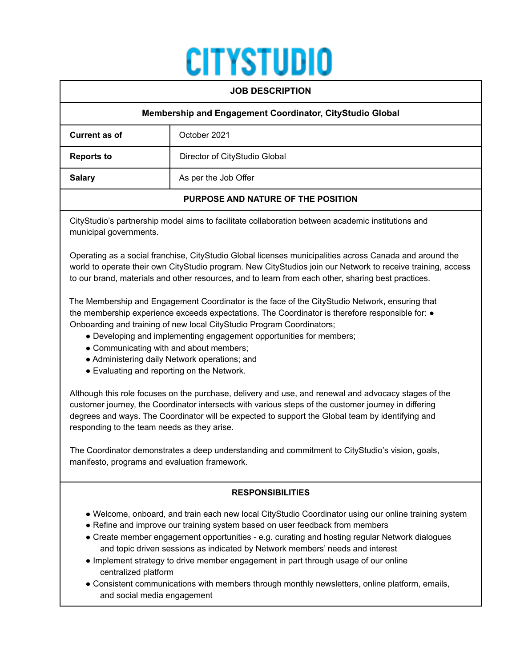# **CITYSTUDIO**

| <b>JOB DESCRIPTION</b>                                   |                               |
|----------------------------------------------------------|-------------------------------|
| Membership and Engagement Coordinator, CityStudio Global |                               |
| Current as of                                            | October 2021                  |
| <b>Reports to</b>                                        | Director of CityStudio Global |
| <b>Salary</b>                                            | As per the Job Offer          |
| PURPOSE AND NATURE OF THE POSITION                       |                               |

CityStudio's partnership model aims to facilitate collaboration between academic institutions and municipal governments.

Operating as a social franchise, CityStudio Global licenses municipalities across Canada and around the world to operate their own CityStudio program. New CityStudios join our Network to receive training, access to our brand, materials and other resources, and to learn from each other, sharing best practices.

The Membership and Engagement Coordinator is the face of the CityStudio Network, ensuring that the membership experience exceeds expectations. The Coordinator is therefore responsible for: ● Onboarding and training of new local CityStudio Program Coordinators;

- Developing and implementing engagement opportunities for members;
- Communicating with and about members;
- Administering daily Network operations; and
- Evaluating and reporting on the Network.

Although this role focuses on the purchase, delivery and use, and renewal and advocacy stages of the customer journey, the Coordinator intersects with various steps of the customer journey in differing degrees and ways. The Coordinator will be expected to support the Global team by identifying and responding to the team needs as they arise.

The Coordinator demonstrates a deep understanding and commitment to CityStudio's vision, goals, manifesto, programs and evaluation framework.

# **RESPONSIBILITIES**

- Welcome, onboard, and train each new local CityStudio Coordinator using our online training system
- Refine and improve our training system based on user feedback from members
- Create member engagement opportunities e.g. curating and hosting regular Network dialogues and topic driven sessions as indicated by Network members' needs and interest
- Implement strategy to drive member engagement in part through usage of our online centralized platform
- Consistent communications with members through monthly newsletters, online platform, emails, and social media engagement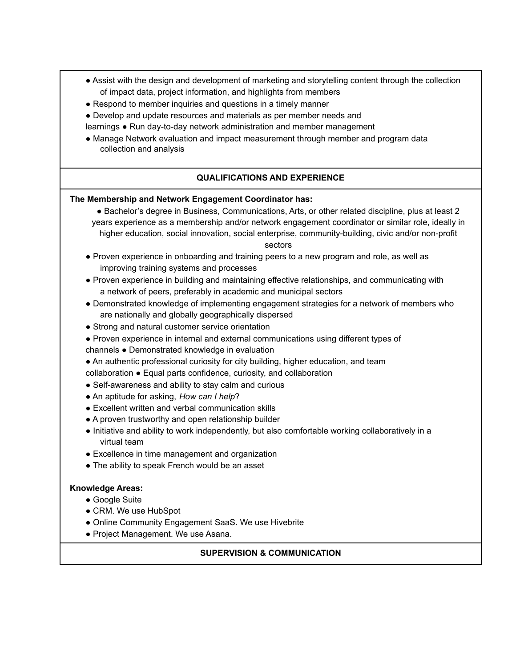- Assist with the design and development of marketing and storytelling content through the collection of impact data, project information, and highlights from members
- Respond to member inquiries and questions in a timely manner
- Develop and update resources and materials as per member needs and
- learnings Run day-to-day network administration and member management
- Manage Network evaluation and impact measurement through member and program data collection and analysis

# **QUALIFICATIONS AND EXPERIENCE**

#### **The Membership and Network Engagement Coordinator has:**

● Bachelor's degree in Business, Communications, Arts, or other related discipline, plus at least 2 years experience as a membership and/or network engagement coordinator or similar role, ideally in higher education, social innovation, social enterprise, community-building, civic and/or non-profit

sectors

- Proven experience in onboarding and training peers to a new program and role, as well as improving training systems and processes
- Proven experience in building and maintaining effective relationships, and communicating with a network of peers, preferably in academic and municipal sectors
- Demonstrated knowledge of implementing engagement strategies for a network of members who are nationally and globally geographically dispersed
- Strong and natural customer service orientation
- Proven experience in internal and external communications using different types of
- channels Demonstrated knowledge in evaluation
- An authentic professional curiosity for city building, higher education, and team
- collaboration Equal parts confidence, curiosity, and collaboration
- Self-awareness and ability to stay calm and curious
- An aptitude for asking, *How can I help*?
- Excellent written and verbal communication skills
- A proven trustworthy and open relationship builder
- Initiative and ability to work independently, but also comfortable working collaboratively in a virtual team
- Excellence in time management and organization
- The ability to speak French would be an asset

#### **Knowledge Areas:**

- Google Suite
- CRM. We use HubSpot
- Online Community Engagement SaaS. We use Hivebrite
- Project Management. We use Asana.

### **SUPERVISION & COMMUNICATION**